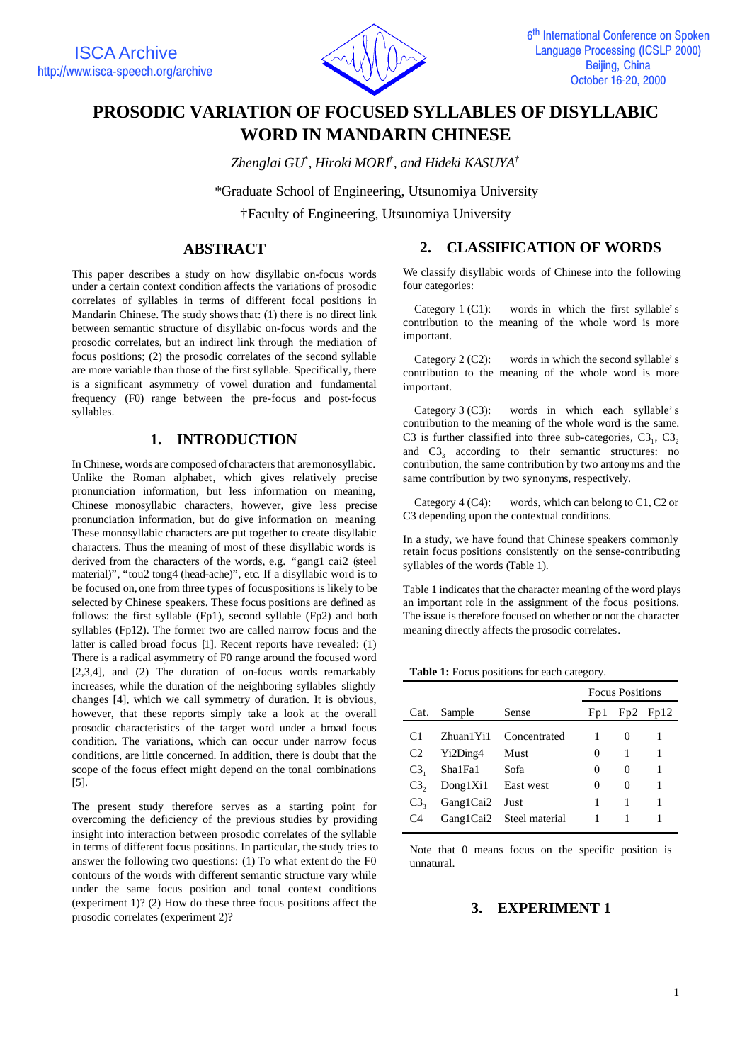

# **PROSODIC VARIATION OF FOCUSED SYLLABLES OF DISYLLABIC WORD IN MANDARIN CHINESE**

*Zhenglai GU\* , Hiroki MORI† , and Hideki KASUYA†*

\*Graduate School of Engineering, Utsunomiya University

†Faculty of Engineering, Utsunomiya University

### **ABSTRACT**

This paper describes a study on how disyllabic on-focus words under a certain context condition affects the variations of prosodic correlates of syllables in terms of different focal positions in Mandarin Chinese. The study shows that: (1) there is no direct link between semantic structure of disyllabic on-focus words and the prosodic correlates, but an indirect link through the mediation of focus positions; (2) the prosodic correlates of the second syllable are more variable than those of the first syllable. Specifically, there is a significant asymmetry of vowel duration and fundamental frequency (F0) range between the pre-focus and post-focus syllables.

# **1. INTRODUCTION**

In Chinese, words are composed of characters that are monosyllabic. Unlike the Roman alphabet, which gives relatively precise pronunciation information, but less information on meaning, Chinese monosyllabic characters, however, give less precise pronunciation information, but do give information on meaning. These monosyllabic characters are put together to create disyllabic characters. Thus the meaning of most of these disyllabic words is derived from the characters of the words, e.g. "gang1 cai2 (steel material)", "tou2 tong4 (head-ache)", etc. If a disyllabic word is to be focused on, one from three types of focus positions is likely to be selected by Chinese speakers. These focus positions are defined as follows: the first syllable (Fp1), second syllable (Fp2) and both syllables (Fp12). The former two are called narrow focus and the latter is called broad focus [1]. Recent reports have revealed: (1) There is a radical asymmetry of F0 range around the focused word [2,3,4], and (2) The duration of on-focus words remarkably increases, while the duration of the neighboring syllables slightly changes [4], which we call symmetry of duration. It is obvious, however, that these reports simply take a look at the overall prosodic characteristics of the target word under a broad focus condition. The variations, which can occur under narrow focus conditions, are little concerned. In addition, there is doubt that the scope of the focus effect might depend on the tonal combinations [5].

The present study therefore serves as a starting point for overcoming the deficiency of the previous studies by providing insight into interaction between prosodic correlates of the syllable in terms of different focus positions. In particular, the study tries to answer the following two questions: (1) To what extent do the F0 contours of the words with different semantic structure vary while under the same focus position and tonal context conditions (experiment 1)? (2) How do these three focus positions affect the prosodic correlates (experiment 2)?

### **2. CLASSIFICATION OF WORDS**

We classify disyllabic words of Chinese into the following four categories:

Category 1 (C1): words in which the first syllable's contribution to the meaning of the whole word is more important.

Category 2 (C2): words in which the second syllable's contribution to the meaning of the whole word is more important.

Category 3 (C3): words in which each syllable's contribution to the meaning of the whole word is the same. C3 is further classified into three sub-categories,  $C3_1$ ,  $C3_2$ and  $C3<sub>3</sub>$  according to their semantic structures: no contribution, the same contribution by two antonyms and the same contribution by two synonyms, respectively.

Category 4 (C4): words, which can belong to C1, C2 or C3 depending upon the contextual conditions.

In a study, we have found that Chinese speakers commonly retain focus positions consistently on the sense-contributing syllables of the words (Table 1).

Table 1 indicates that the character meaning of the word plays an important role in the assignment of the focus positions. The issue is therefore focused on whether or not the character meaning directly affects the prosodic correlates.

| <b>Table 1:</b> Focus positions for each category. |  |  |
|----------------------------------------------------|--|--|
|----------------------------------------------------|--|--|

|                    |           |                |        | <b>Focus Positions</b> |              |  |
|--------------------|-----------|----------------|--------|------------------------|--------------|--|
| Cat.               | Sample    | Sense          | Fp1    |                        | $Fp2$ $Fp12$ |  |
| C <sub>1</sub>     | Zhuan1Yi1 | Concentrated   |        | $\theta$               | 1            |  |
| C <sub>2</sub>     | Yi2Ding4  | Must           | $_{0}$ | 1                      | 1            |  |
| C3,                | Sha1Fa1   | Sofa           | 0      | 0                      | 1            |  |
| $C3_{2}$           | Dong1Xi1  | East west      | 0      | 0                      |              |  |
| $C_{\mathbf{3}_2}$ | Gang1Cai2 | Just           | 1      | 1                      | 1            |  |
| C4                 | Gang1Cai2 | Steel material |        |                        |              |  |

Note that 0 means focus on the specific position is unnatural.

### **3. EXPERIMENT 1**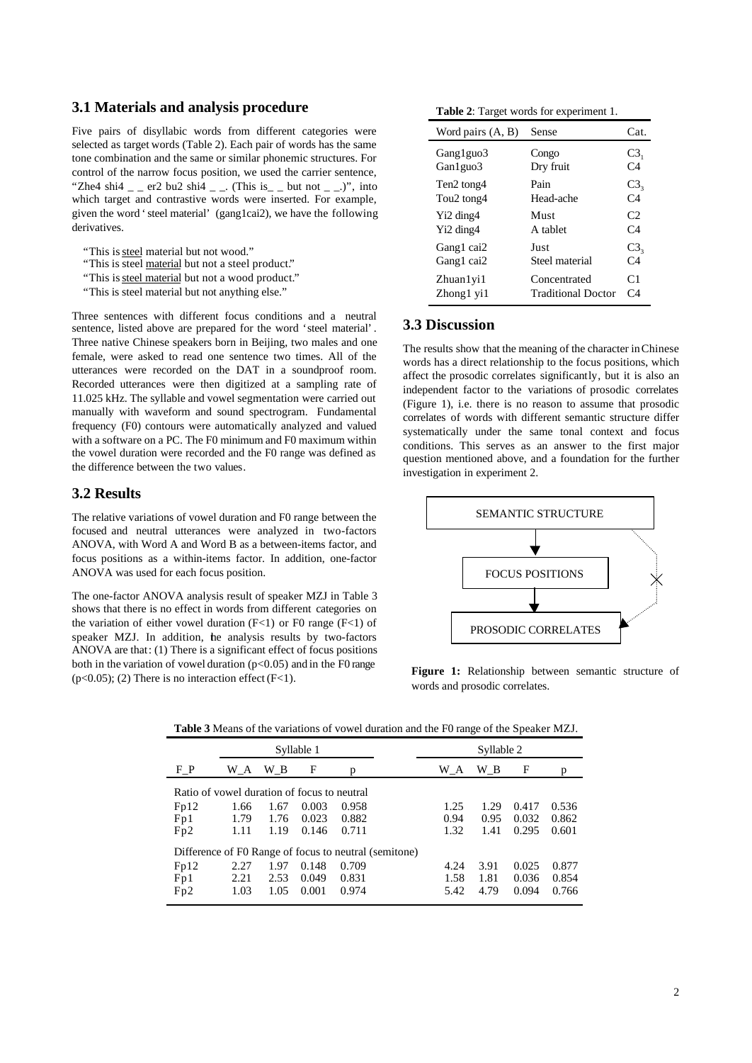#### **3.1 Materials and analysis procedure**

Five pairs of disyllabic words from different categories were selected as target words (Table 2). Each pair of words has the same tone combination and the same or similar phonemic structures. For control of the narrow focus position, we used the carrier sentence, "Zhe4 shi4  $=$   $=$  er2 bu2 shi4  $=$   $=$ . (This is  $=$   $=$  but not  $=$   $=$ .)", into which target and contrastive words were inserted. For example, given the word 'steel material' (gang1cai2), we have the following derivatives.

- "This is steel material but not wood."
- "This is steel material but not a steel product."
- "This is steel material but not a wood product."
- "This is steel material but not anything else."

Three sentences with different focus conditions and a neutral sentence, listed above are prepared for the word 'steel material'. Three native Chinese speakers born in Beijing, two males and one female, were asked to read one sentence two times. All of the utterances were recorded on the DAT in a soundproof room. Recorded utterances were then digitized at a sampling rate of 11.025 kHz. The syllable and vowel segmentation were carried out manually with waveform and sound spectrogram. Fundamental frequency (F0) contours were automatically analyzed and valued with a software on a PC. The F0 minimum and F0 maximum within the vowel duration were recorded and the F0 range was defined as the difference between the two values.

### **3.2 Results**

The relative variations of vowel duration and F0 range between the focused and neutral utterances were analyzed in two-factors ANOVA, with Word A and Word B as a between-items factor, and focus positions as a within-items factor. In addition, one-factor ANOVA was used for each focus position.

The one-factor ANOVA analysis result of speaker MZJ in Table 3 shows that there is no effect in words from different categories on the variation of either vowel duration  $(F<1)$  or F0 range  $(F<1)$  of speaker MZJ. In addition, the analysis results by two-factors ANOVA are that: (1) There is a significant effect of focus positions both in the variation of vowel duration  $(p<0.05)$  and in the F0 range  $(p<0.05)$ ; (2) There is no interaction effect (F<1).

**Table 2**: Target words for experiment 1.

| Word pairs $(A, B)$                | Sense                     | Cat             |
|------------------------------------|---------------------------|-----------------|
| Gang1guo3                          | Congo                     | C3 <sub>1</sub> |
| Gan1guo3                           | Dry fruit                 | C4              |
| Ten <sub>2</sub> tong4             | Pain                      | C3 <sub>3</sub> |
| Tou <sub>2</sub> tong <sub>4</sub> | Head-ache                 | C <sub>4</sub>  |
| Y <sub>i</sub> 2 ding4             | Must                      | C <sub>2</sub>  |
| Y <sub>i</sub> 2 ding4             | A tablet                  | C4              |
| Gang1 cai2                         | Just                      | C3 <sub>3</sub> |
| Gang1 cai2                         | Steel material            | C <sub>4</sub>  |
| Zhuan 1 yi 1                       | Concentrated              | C <sub>1</sub>  |
| Zhong1 yi1                         | <b>Traditional Doctor</b> | $C_4$           |

## **3.3 Discussion**

The results show that the meaning of the character in Chinese words has a direct relationship to the focus positions, which affect the prosodic correlates significantly, but it is also an independent factor to the variations of prosodic correlates (Figure 1), i.e. there is no reason to assume that prosodic correlates of words with different semantic structure differ systematically under the same tonal context and focus conditions. This serves as an answer to the first major question mentioned above, and a foundation for the further investigation in experiment 2.



**Figure 1:** Relationship between semantic structure of words and prosodic correlates.

|                                                       |            |      |            |       |      | Č    |       |       |
|-------------------------------------------------------|------------|------|------------|-------|------|------|-------|-------|
|                                                       | Syllable 1 |      | Syllable 2 |       |      |      |       |       |
| $F_P$                                                 | W_A        | WВ   | F          | р     | W A  | WВ   | F     | p     |
| Ratio of yowel duration of focus to neutral           |            |      |            |       |      |      |       |       |
| Fp12                                                  | 1.66       | 1.67 | 0.003      | 0.958 | 1.25 | 1.29 | 0.417 | 0.536 |
| Fp1                                                   | 1.79       | 1.76 | 0.023      | 0.882 | 0.94 | 0.95 | 0.032 | 0.862 |
| Fp2                                                   | 1.11       | 1.19 | 0.146      | 0.711 | 1.32 | 1.41 | 0.295 | 0.601 |
| Difference of F0 Range of focus to neutral (semitone) |            |      |            |       |      |      |       |       |
| Fp12                                                  | 2.27       | 1.97 | 0.148      | 0.709 | 4.24 | 3.91 | 0.025 | 0.877 |
| Fp1                                                   | 2.21       | 2.53 | 0.049      | 0.831 | 1.58 | 1.81 | 0.036 | 0.854 |
| Fp2                                                   | 1.03       | 1.05 | 0.001      | 0.974 | 5.42 | 4.79 | 0.094 | 0.766 |
|                                                       |            |      |            |       |      |      |       |       |

**Table 3** Means of the variations of vowel duration and the F0 range of the Speaker MZJ.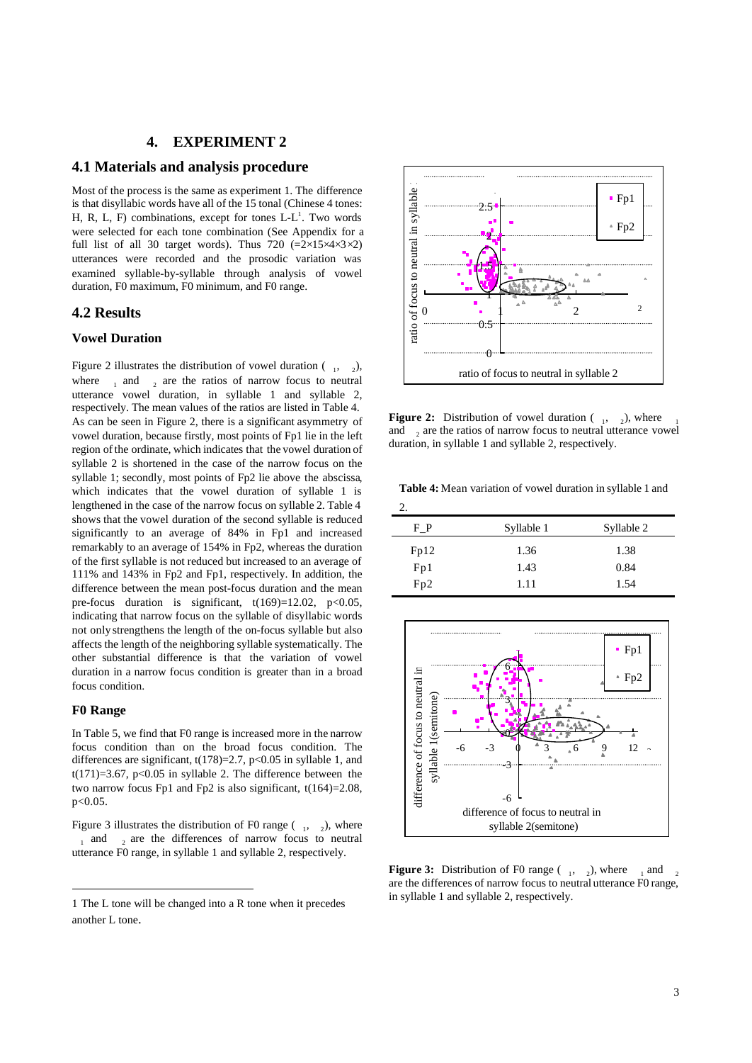#### **4. EXPERIMENT 2**

#### **4.1 Materials and analysis procedure**

Most of the process is the same as experiment 1. The difference is that disyllabic words have all of the 15 tonal (Chinese 4 tones: H, R, L, F) combinations, except for tones  $L-L<sup>1</sup>$ . Two words were selected for each tone combination (See Appendix for a full list of all 30 target words). Thus 720  $(=2\times15\times4\times3\times2)$ utterances were recorded and the prosodic variation was examined syllable-by-syllable through analysis of vowel duration, F0 maximum, F0 minimum, and F0 range.

### **4.2 Results**

#### **Vowel Duration**

Figure 2 illustrates the distribution of vowel duration  $\begin{pmatrix} 1 & 0 \\ 0 & 1 \end{pmatrix}$ , where  $\frac{1}{1}$  and  $\frac{1}{2}$  are the ratios of narrow focus to neutral utterance vowel duration, in syllable 1 and syllable 2, respectively. The mean values of the ratios are listed in Table 4. As can be seen in Figure 2, there is a significant asymmetry of vowel duration, because firstly, most points of Fp1 lie in the left region of the ordinate, which indicates that the vowel duration of syllable 2 is shortened in the case of the narrow focus on the syllable 1; secondly, most points of Fp2 lie above the abscissa, which indicates that the vowel duration of syllable 1 is lengthened in the case of the narrow focus on syllable 2. Table 4 shows that the vowel duration of the second syllable is reduced significantly to an average of 84% in Fp1 and increased remarkably to an average of 154% in Fp2, whereas the duration of the first syllable is not reduced but increased to an average of 111% and 143% in Fp2 and Fp1, respectively. In addition, the difference between the mean post-focus duration and the mean pre-focus duration is significant,  $t(169)=12.02$ ,  $p<0.05$ , indicating that narrow focus on the syllable of disyllabic words not only strengthens the length of the on-focus syllable but also affects the length of the neighboring syllable systematically. The other substantial difference is that the variation of vowel duration in a narrow focus condition is greater than in a broad focus condition.

#### **F0 Range**

j

In Table 5, we find that F0 range is increased more in the narrow focus condition than on the broad focus condition. The differences are significant,  $t(178)=2.7$ ,  $p<0.05$  in syllable 1, and  $t(171)=3.67$ , p<0.05 in syllable 2. The difference between the two narrow focus Fp1 and Fp2 is also significant, t(164)=2.08, p<0.05.

Figure 3 illustrates the distribution of F0 range  $\begin{pmatrix} 1 & 2 \end{pmatrix}$ , where  $_1$  and  $_2$  are the differences of narrow focus to neutral utterance F0 range, in syllable 1 and syllable 2, respectively.



**Figure 2:** Distribution of vowel duration  $\begin{pmatrix} 1 & 2 \end{pmatrix}$ , where  $\begin{pmatrix} 1 & 2 \end{pmatrix}$ and  $_2$  are the ratios of narrow focus to neutral utterance vowel duration, in syllable 1 and syllable 2, respectively.

**Table 4:** Mean variation of vowel duration in syllable 1 and

 $\Delta$ 

| ٠.   |            |            |
|------|------------|------------|
| FР   | Syllable 1 | Syllable 2 |
| Fp12 | 1.36       | 1.38       |
| Fp1  | 1.43       | 0.84       |
| Fp2  | 1.11       | 1.54       |
|      |            |            |



**Figure 3:** Distribution of F0 range  $\begin{pmatrix} 1 & 2 \end{pmatrix}$ , where  $\begin{pmatrix} 1 & 0 \end{pmatrix}$ are the differences of narrow focus to neutral utterance F0 range, in syllable 1 and syllable 2, respectively.

<sup>1</sup> The L tone will be changed into a R tone when it precedes another L tone.